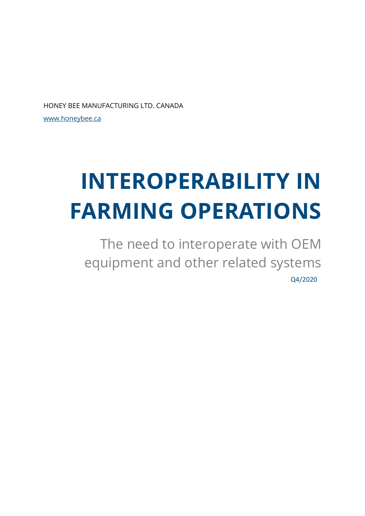HONEY BEE MANUFACTURING LTD. CANADA

[www.honeybee.ca](http://www.honeybee.ca/)

# **INTEROPERABILITY IN FARMING OPERATIONS**

The need to interoperate with OEM equipment and other related systems Q4/2020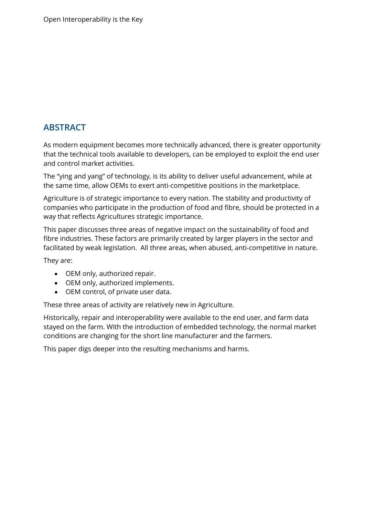# <span id="page-1-0"></span>**ABSTRACT**

As modern equipment becomes more technically advanced, there is greater opportunity that the technical tools available to developers, can be employed to exploit the end user and control market activities.

The "ying and yang" of technology, is its ability to deliver useful advancement, while at the same time, allow OEMs to exert anti-competitive positions in the marketplace.

Agriculture is of strategic importance to every nation. The stability and productivity of companies who participate in the production of food and fibre, should be protected in a way that reflects Agricultures strategic importance.

This paper discusses three areas of negative impact on the sustainability of food and fibre industries. These factors are primarily created by larger players in the sector and facilitated by weak legislation. All three areas, when abused, anti-competitive in nature.

They are:

- OEM only, authorized repair.
- OEM only, authorized implements.
- OEM control, of private user data.

These three areas of activity are relatively new in Agriculture.

Historically, repair and interoperability were available to the end user, and farm data stayed on the farm. With the introduction of embedded technology, the normal market conditions are changing for the short line manufacturer and the farmers.

This paper digs deeper into the resulting mechanisms and harms.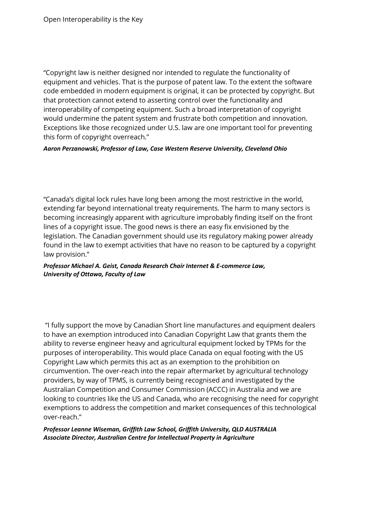"Copyright law is neither designed nor intended to regulate the functionality of equipment and vehicles. That is the purpose of patent law. To the extent the software code embedded in modern equipment is original, it can be protected by copyright. But that protection cannot extend to asserting control over the functionality and interoperability of competing equipment. Such a broad interpretation of copyright would undermine the patent system and frustrate both competition and innovation. Exceptions like those recognized under U.S. law are one important tool for preventing this form of copyright overreach."

#### *Aaron Perzanowski, Professor of Law, Case Western Reserve University, Cleveland Ohio*

"Canada's digital lock rules have long been among the most restrictive in the world, extending far beyond international treaty requirements. The harm to many sectors is becoming increasingly apparent with agriculture improbably finding itself on the front lines of a copyright issue. The good news is there an easy fix envisioned by the legislation. The Canadian government should use its regulatory making power already found in the law to exempt activities that have no reason to be captured by a copyright law provision."

#### *Professor Michael A. Geist, Canada Research Chair Internet & E-commerce Law, University of Ottawa, Faculty of Law*

"I fully support the move by Canadian Short line manufactures and equipment dealers to have an exemption introduced into Canadian Copyright Law that grants them the ability to reverse engineer heavy and agricultural equipment locked by TPMs for the purposes of interoperability. This would place Canada on equal footing with the US Copyright Law which permits this act as an exemption to the prohibition on circumvention. The over-reach into the repair aftermarket by agricultural technology providers, by way of TPMS, is currently being recognised and investigated by the Australian Competition and Consumer Commission (ACCC) in Australia and we are looking to countries like the US and Canada, who are recognising the need for copyright exemptions to address the competition and market consequences of this technological over-reach."

#### *Professor Leanne Wiseman, Griffith Law School, Griffith University, QLD AUSTRALIA Associate Director, Australian Centre for Intellectual Property in Agriculture*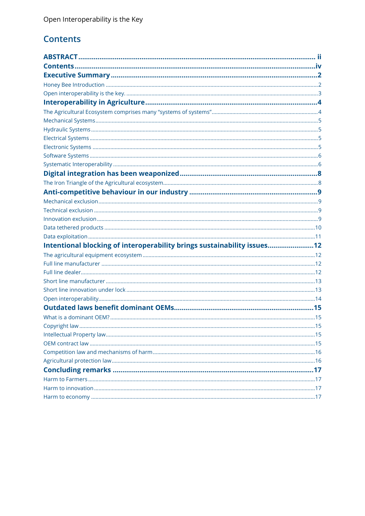# <span id="page-3-0"></span>**Contents**

| Intentional blocking of interoperability brings sustainability issues12 |  |
|-------------------------------------------------------------------------|--|
|                                                                         |  |
|                                                                         |  |
|                                                                         |  |
|                                                                         |  |
|                                                                         |  |
|                                                                         |  |
|                                                                         |  |
|                                                                         |  |
|                                                                         |  |
|                                                                         |  |
|                                                                         |  |
|                                                                         |  |
|                                                                         |  |
|                                                                         |  |
|                                                                         |  |
|                                                                         |  |
|                                                                         |  |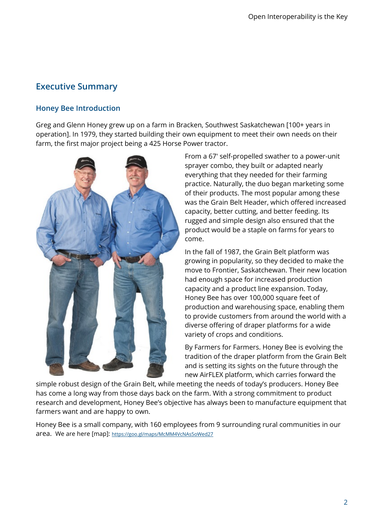# <span id="page-4-0"></span>**Executive Summary**

# <span id="page-4-1"></span>**Honey Bee Introduction**

Greg and Glenn Honey grew up on a farm in Bracken, Southwest Saskatchewan [100+ years in operation]. In 1979, they started building their own equipment to meet their own needs on their farm, the first major project being a 425 Horse Power tractor.



From a 67′ self-propelled swather to a power-unit sprayer combo, they built or adapted nearly everything that they needed for their farming practice. Naturally, the duo began marketing some of their products. The most popular among these was the Grain Belt Header, which offered increased capacity, better cutting, and better feeding. Its rugged and simple design also ensured that the product would be a staple on farms for years to come.

In the fall of 1987, the Grain Belt platform was growing in popularity, so they decided to make the move to Frontier, Saskatchewan. Their new location had enough space for increased production capacity and a product line expansion. Today, Honey Bee has over 100,000 square feet of production and warehousing space, enabling them to provide customers from around the world with a diverse offering of draper platforms for a wide variety of crops and conditions.

By Farmers for Farmers. Honey Bee is evolving the tradition of the draper platform from the Grain Belt and is setting its sights on the future through the new AirFLEX platform, which carries forward the

simple robust design of the Grain Belt, while meeting the needs of today's producers. Honey Bee has come a long way from those days back on the farm. With a strong commitment to product research and development, Honey Bee's objective has always been to manufacture equipment that farmers want and are happy to own.

Honey Bee is a small company, with 160 employees from 9 surrounding rural communities in our area. We are here [map]: <https://goo.gl/maps/McMM4VcNAs5oWed27>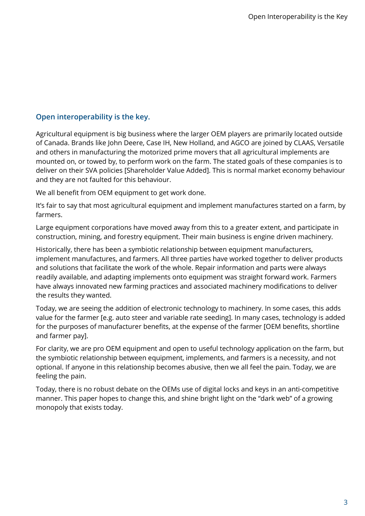## <span id="page-5-0"></span>**Open interoperability is the key.**

Agricultural equipment is big business where the larger OEM players are primarily located outside of Canada. Brands like John Deere, Case IH, New Holland, and AGCO are joined by CLAAS, Versatile and others in manufacturing the motorized prime movers that all agricultural implements are mounted on, or towed by, to perform work on the farm. The stated goals of these companies is to deliver on their SVA policies [Shareholder Value Added]. This is normal market economy behaviour and they are not faulted for this behaviour.

We all benefit from OEM equipment to get work done.

It's fair to say that most agricultural equipment and implement manufactures started on a farm, by farmers.

Large equipment corporations have moved away from this to a greater extent, and participate in construction, mining, and forestry equipment. Their main business is engine driven machinery.

Historically, there has been a symbiotic relationship between equipment manufacturers, implement manufactures, and farmers. All three parties have worked together to deliver products and solutions that facilitate the work of the whole. Repair information and parts were always readily available, and adapting implements onto equipment was straight forward work. Farmers have always innovated new farming practices and associated machinery modifications to deliver the results they wanted.

Today, we are seeing the addition of electronic technology to machinery. In some cases, this adds value for the farmer [e.g. auto steer and variable rate seeding]. In many cases, technology is added for the purposes of manufacturer benefits, at the expense of the farmer [OEM benefits, shortline and farmer pay].

For clarity, we are pro OEM equipment and open to useful technology application on the farm, but the symbiotic relationship between equipment, implements, and farmers is a necessity, and not optional. If anyone in this relationship becomes abusive, then we all feel the pain. Today, we are feeling the pain.

Today, there is no robust debate on the OEMs use of digital locks and keys in an anti-competitive manner. This paper hopes to change this, and shine bright light on the "dark web" of a growing monopoly that exists today.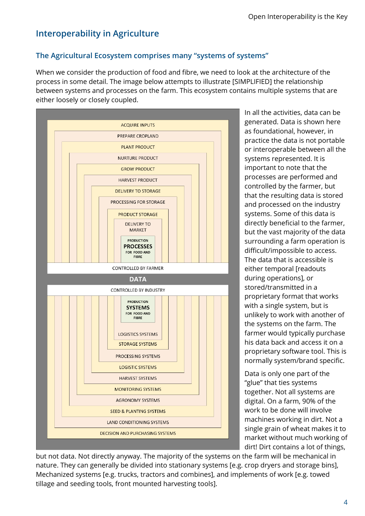# <span id="page-6-0"></span>**Interoperability in Agriculture**

# <span id="page-6-1"></span>**The Agricultural Ecosystem comprises many "systems of systems"**

When we consider the production of food and fibre, we need to look at the architecture of the process in some detail. The image below attempts to illustrate [SIMPLIFIED] the relationship between systems and processes on the farm. This ecosystem contains multiple systems that are either loosely or closely coupled.



In all the activities, data can be generated. Data is shown here as foundational, however, in practice the data is not portable or interoperable between all the systems represented. It is important to note that the processes are performed and controlled by the farmer, but that the resulting data is stored and processed on the industry systems. Some of this data is directly beneficial to the farmer, but the vast majority of the data surrounding a farm operation is difficult/impossible to access. The data that is accessible is either temporal [readouts during operations], or stored/transmitted in a proprietary format that works with a single system, but is unlikely to work with another of the systems on the farm. The farmer would typically purchase his data back and access it on a proprietary software tool. This is normally system/brand specific.

Data is only one part of the "glue" that ties systems together. Not all systems are digital. On a farm, 90% of the work to be done will involve machines working in dirt. Not a single grain of wheat makes it to market without much working of dirt! Dirt contains a lot of things,

but not data. Not directly anyway. The majority of the systems on the farm will be mechanical in nature. They can generally be divided into stationary systems [e.g. crop dryers and storage bins], Mechanized systems [e.g. trucks, tractors and combines], and implements of work [e.g. towed tillage and seeding tools, front mounted harvesting tools].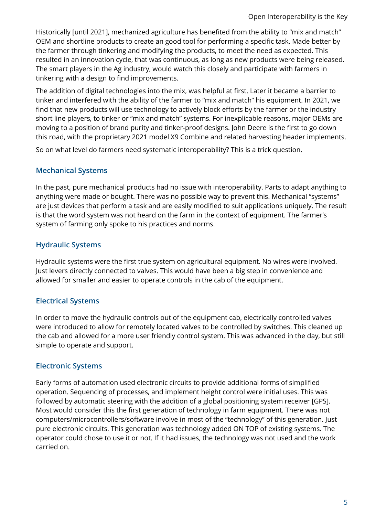Historically [until 2021], mechanized agriculture has benefited from the ability to "mix and match" OEM and shortline products to create an good tool for performing a specific task. Made better by the farmer through tinkering and modifying the products, to meet the need as expected. This resulted in an innovation cycle, that was continuous, as long as new products were being released. The smart players in the Ag industry, would watch this closely and participate with farmers in tinkering with a design to find improvements.

The addition of digital technologies into the mix, was helpful at first. Later it became a barrier to tinker and interfered with the ability of the farmer to "mix and match" his equipment. In 2021, we find that new products will use technology to actively block efforts by the farmer or the industry short line players, to tinker or "mix and match" systems. For inexplicable reasons, major OEMs are moving to a position of brand purity and tinker-proof designs. John Deere is the first to go down this road, with the proprietary 2021 model X9 Combine and related harvesting header implements.

So on what level do farmers need systematic interoperability? This is a trick question.

# <span id="page-7-0"></span>**Mechanical Systems**

In the past, pure mechanical products had no issue with interoperability. Parts to adapt anything to anything were made or bought. There was no possible way to prevent this. Mechanical "systems" are just devices that perform a task and are easily modified to suit applications uniquely. The result is that the word system was not heard on the farm in the context of equipment. The farmer's system of farming only spoke to his practices and norms.

# <span id="page-7-1"></span>**Hydraulic Systems**

Hydraulic systems were the first true system on agricultural equipment. No wires were involved. Just levers directly connected to valves. This would have been a big step in convenience and allowed for smaller and easier to operate controls in the cab of the equipment.

# <span id="page-7-2"></span>**Electrical Systems**

In order to move the hydraulic controls out of the equipment cab, electrically controlled valves were introduced to allow for remotely located valves to be controlled by switches. This cleaned up the cab and allowed for a more user friendly control system. This was advanced in the day, but still simple to operate and support.

# <span id="page-7-3"></span>**Electronic Systems**

Early forms of automation used electronic circuits to provide additional forms of simplified operation. Sequencing of processes, and implement height control were initial uses. This was followed by automatic steering with the addition of a global positioning system receiver [GPS]. Most would consider this the first generation of technology in farm equipment. There was not computers/microcontrollers/software involve in most of the "technology" of this generation. Just pure electronic circuits. This generation was technology added ON TOP of existing systems. The operator could chose to use it or not. If it had issues, the technology was not used and the work carried on.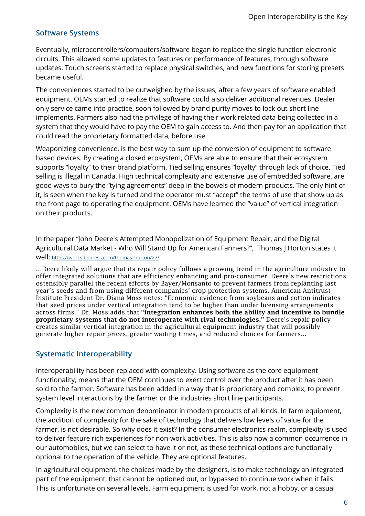# <span id="page-8-0"></span>**Software Systems**

Eventually, microcontrollers/computers/software began to replace the single function electronic circuits. This allowed some updates to features or performance of features, through software updates. Touch screens started to replace physical switches, and new functions for storing presets became useful.

The conveniences started to be outweighed by the issues, after a few years of software enabled equipment. OEMs started to realize that software could also deliver additional revenues. Dealer only service came into practice, soon followed by brand purity moves to lock out short line implements. Farmers also had the privilege of having their work related data being collected in a system that they would have to pay the OEM to gain access to. And then pay for an application that could read the proprietary formatted data, before use.

Weaponizing convenience, is the best way to sum up the conversion of equipment to software based devices. By creating a closed ecosystem, OEMs are able to ensure that their ecosystem supports "loyalty" to their brand platform. Tied selling ensures "loyalty" through lack of choice. Tied selling is illegal in Canada. High technical complexity and extensive use of embedded software, are good ways to bury the "tying agreements" deep in the bowels of modern products. The only hint of it, is seen when the key is turned and the operator must "accept" the terms of use that show up as the front page to operating the equipment. OEMs have learned the "value" of vertical integration on their products.

In the paper "John Deere's Attempted Monopolization of Equipment Repair, and the Digital Agricultural Data Market - Who Will Stand Up for American Farmers?", Thomas J Horton states it well: [https://works.bepress.com/thomas\\_horton/27/](https://works.bepress.com/thomas_horton/27/)

…Deere likely will argue that its repair policy follows a growing trend in the agriculture industry to offer integrated solutions that are efficiency enhancing and pro-consumer. Deere's new restrictions ostensibly parallel the recent efforts by Bayer/Monsanto to prevent farmers from replanting last year's seeds and from using different companies' crop protection systems. American Antitrust Institute President Dr. Diana Moss notes: "Economic evidence from soybeans and cotton indicates that seed prices under vertical integration tend to be higher than under licensing arrangements across firms." Dr. Moss adds that **"integration enhances both the ability and incentive to bundle** proprietary systems that do not interoperate with rival technologies." Deere's repair policy creates similar vertical integration in the agricultural equipment industry that will possibly generate higher repair prices, greater waiting times, and reduced choices for farmers...

# <span id="page-8-1"></span>**Systematic Interoperability**

Interoperability has been replaced with complexity. Using software as the core equipment functionality, means that the OEM continues to exert control over the product after it has been sold to the farmer. Software has been added in a way that is proprietary and complex, to prevent system level interactions by the farmer or the industries short line participants.

Complexity is the new common denominator in modern products of all kinds. In farm equipment, the addition of complexity for the sake of technology that delivers low levels of value for the farmer, is not desirable. So why does it exist? In the consumer electronics realm, complexity is used to deliver feature rich experiences for non-work activities. This is also now a common occurrence in our automobiles, but we can select to have it or not, as these technical options are functionally optional to the operation of the vehicle. They are optional features.

In agricultural equipment, the choices made by the designers, is to make technology an integrated part of the equipment, that cannot be optioned out, or bypassed to continue work when it fails. This is unfortunate on several levels. Farm equipment is used for work, not a hobby, or a casual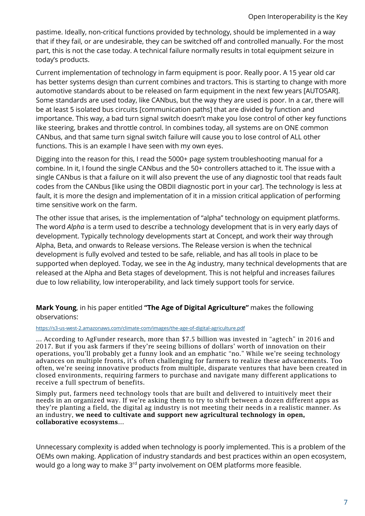pastime. Ideally, non-critical functions provided by technology, should be implemented in a way that if they fail, or are undesirable, they can be switched off and controlled manually. For the most part, this is not the case today. A technical failure normally results in total equipment seizure in today's products.

Current implementation of technology in farm equipment is poor. Really poor. A 15 year old car has better systems design than current combines and tractors. This is starting to change with more automotive standards about to be released on farm equipment in the next few years [AUTOSAR]. Some standards are used today, like CANbus, but the way they are used is poor. In a car, there will be at least 5 isolated bus circuits [communication paths] that are divided by function and importance. This way, a bad turn signal switch doesn't make you lose control of other key functions like steering, brakes and throttle control. In combines today, all systems are on ONE common CANbus, and that same turn signal switch failure will cause you to lose control of ALL other functions. This is an example I have seen with my own eyes.

Digging into the reason for this, I read the 5000+ page system troubleshooting manual for a combine. In it, I found the single CANbus and the 50+ controllers attached to it. The issue with a single CANbus is that a failure on it will also prevent the use of any diagnostic tool that reads fault codes from the CANbus [like using the OBDII diagnostic port in your car]. The technology is less at fault, it is more the design and implementation of it in a mission critical application of performing time sensitive work on the farm.

The other issue that arises, is the implementation of "alpha" technology on equipment platforms. The word *Alpha* is a term used to describe a technology development that is in very early days of development. Typically technology developments start at Concept, and work their way through Alpha, Beta, and onwards to Release versions. The Release version is when the technical development is fully evolved and tested to be safe, reliable, and has all tools in place to be supported when deployed. Today, we see in the Ag industry, many technical developments that are released at the Alpha and Beta stages of development. This is not helpful and increases failures due to low reliability, low interoperability, and lack timely support tools for service.

**Mark Young**, in his paper entitled **"The Age of Digital Agriculture"** makes the following observations:

#### <https://s3-us-west-2.amazonaws.com/climate-com/images/the-age-of-digital-agriculture.pdf>

… According to AgFunder research, more than \$7.5 billion was invested in "agtech" in 2016 and 2017. But if you ask farmers if they're seeing billions of dollars' worth of innovation on their operations, you'll probably get a funny look and an emphatic "no." While we're seeing technology advances on multiple fronts, it's often challenging for farmers to realize these advancements. Too often, we're seeing innovative products from multiple, disparate ventures that have been created in closed environments, requiring farmers to purchase and navigate many different applications to receive a full spectrum of benefits.

Simply put, farmers need technology tools that are built and delivered to intuitively meet their needs in an organized way. If we're asking them to try to shift between a dozen different apps as they're planting a field, the digital ag industry is not meeting their needs in a realistic manner. As an industry, we need to cultivate and support new agricultural technology in open, collaborative ecosystems…

Unnecessary complexity is added when technology is poorly implemented. This is a problem of the OEMs own making. Application of industry standards and best practices within an open ecosystem, would go a long way to make 3<sup>rd</sup> party involvement on OEM platforms more feasible.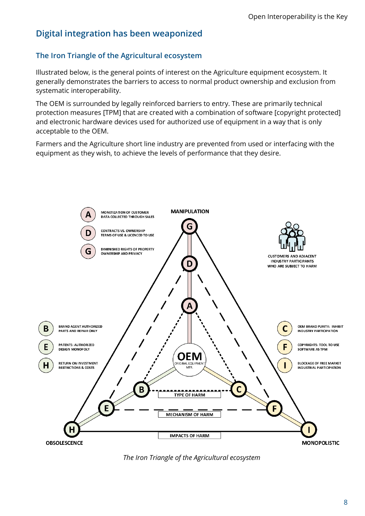# <span id="page-10-0"></span>**Digital integration has been weaponized**

# <span id="page-10-1"></span>**The Iron Triangle of the Agricultural ecosystem**

Illustrated below, is the general points of interest on the Agriculture equipment ecosystem. It generally demonstrates the barriers to access to normal product ownership and exclusion from systematic interoperability.

The OEM is surrounded by legally reinforced barriers to entry. These are primarily technical protection measures [TPM] that are created with a combination of software [copyright protected] and electronic hardware devices used for authorized use of equipment in a way that is only acceptable to the OEM.

Farmers and the Agriculture short line industry are prevented from used or interfacing with the equipment as they wish, to achieve the levels of performance that they desire.



*The Iron Triangle of the Agricultural ecosystem*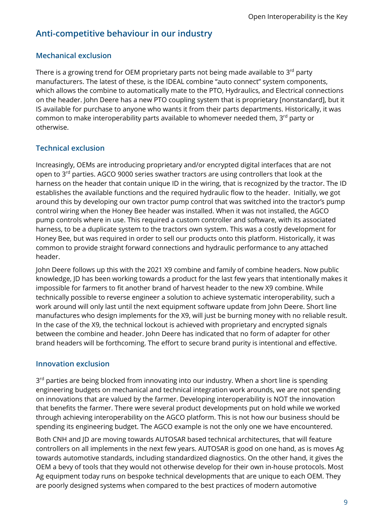# <span id="page-11-0"></span>**Anti-competitive behaviour in our industry**

# <span id="page-11-1"></span>**Mechanical exclusion**

There is a growing trend for OEM proprietary parts not being made available to  $3<sup>rd</sup>$  party manufacturers. The latest of these, is the IDEAL combine "auto connect" system components, which allows the combine to automatically mate to the PTO, Hydraulics, and Electrical connections on the header. John Deere has a new PTO coupling system that is proprietary [nonstandard], but it IS available for purchase to anyone who wants it from their parts departments. Historically, it was common to make interoperability parts available to whomever needed them, 3<sup>rd</sup> party or otherwise.

# <span id="page-11-2"></span>**Technical exclusion**

Increasingly, OEMs are introducing proprietary and/or encrypted digital interfaces that are not open to 3<sup>rd</sup> parties. AGCO 9000 series swather tractors are using controllers that look at the harness on the header that contain unique ID in the wiring, that is recognized by the tractor. The ID establishes the available functions and the required hydraulic flow to the header. Initially, we got around this by developing our own tractor pump control that was switched into the tractor's pump control wiring when the Honey Bee header was installed. When it was not installed, the AGCO pump controls where in use. This required a custom controller and software, with its associated harness, to be a duplicate system to the tractors own system. This was a costly development for Honey Bee, but was required in order to sell our products onto this platform. Historically, it was common to provide straight forward connections and hydraulic performance to any attached header.

John Deere follows up this with the 2021 X9 combine and family of combine headers. Now public knowledge, JD has been working towards a product for the last few years that intentionally makes it impossible for farmers to fit another brand of harvest header to the new X9 combine. While technically possible to reverse engineer a solution to achieve systematic interoperability, such a work around will only last until the next equipment software update from John Deere. Short line manufactures who design implements for the X9, will just be burning money with no reliable result. In the case of the X9, the technical lockout is achieved with proprietary and encrypted signals between the combine and header. John Deere has indicated that no form of adapter for other brand headers will be forthcoming. The effort to secure brand purity is intentional and effective.

# <span id="page-11-3"></span>**Innovation exclusion**

3<sup>rd</sup> parties are being blocked from innovating into our industry. When a short line is spending engineering budgets on mechanical and technical integration work arounds, we are not spending on innovations that are valued by the farmer. Developing interoperability is NOT the innovation that benefits the farmer. There were several product developments put on hold while we worked through achieving interoperability on the AGCO platform. This is not how our business should be spending its engineering budget. The AGCO example is not the only one we have encountered.

Both CNH and JD are moving towards AUTOSAR based technical architectures, that will feature controllers on all implements in the next few years. AUTOSAR is good on one hand, as is moves Ag towards automotive standards, including standardized diagnostics. On the other hand, it gives the OEM a bevy of tools that they would not otherwise develop for their own in-house protocols. Most Ag equipment today runs on bespoke technical developments that are unique to each OEM. They are poorly designed systems when compared to the best practices of modern automotive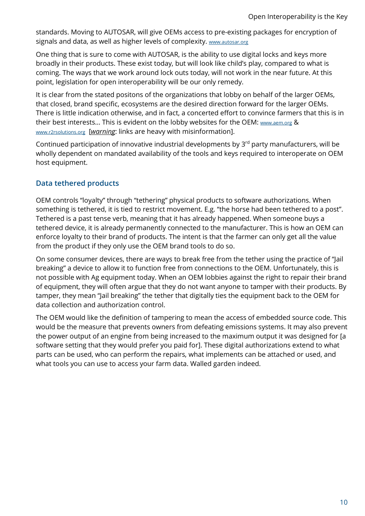standards. Moving to AUTOSAR, will give OEMs access to pre-existing packages for encryption of signals and data, as well as higher levels of complexity. [www.autosar.org](https://www.autosar.org/)

One thing that is sure to come with AUTOSAR, is the ability to use digital locks and keys more broadly in their products. These exist today, but will look like child's play, compared to what is coming. The ways that we work around lock outs today, will not work in the near future. At this point, legislation for open interoperability will be our only remedy.

It is clear from the stated positons of the organizations that lobby on behalf of the larger OEMs, that closed, brand specific, ecosystems are the desired direction forward for the larger OEMs. There is little indication otherwise, and in fact, a concerted effort to convince farmers that this is in their best interests... This is evident on the lobby websites for the OEM[: www.aem.org](http://www.aem.org/) & [www.r2rsolutions.org](http://www.r2rsolutions.org/) [*warning*: links are heavy with misinformation].

Continued participation of innovative industrial developments by 3<sup>rd</sup> party manufacturers, will be wholly dependent on mandated availability of the tools and keys required to interoperate on OEM host equipment.

# <span id="page-12-0"></span>**Data tethered products**

OEM controls "loyalty" through "tethering" physical products to software authorizations. When something is tethered, it is tied to restrict movement. E.g. "the horse had been tethered to a post". Tethered is a past tense verb, meaning that it has already happened. When someone buys a tethered device, it is already permanently connected to the manufacturer. This is how an OEM can enforce loyalty to their brand of products. The intent is that the farmer can only get all the value from the product if they only use the OEM brand tools to do so.

On some consumer devices, there are ways to break free from the tether using the practice of "Jail breaking" a device to allow it to function free from connections to the OEM. Unfortunately, this is not possible with Ag equipment today. When an OEM lobbies against the right to repair their brand of equipment, they will often argue that they do not want anyone to tamper with their products. By tamper, they mean "Jail breaking" the tether that digitally ties the equipment back to the OEM for data collection and authorization control.

The OEM would like the definition of tampering to mean the access of embedded source code. This would be the measure that prevents owners from defeating emissions systems. It may also prevent the power output of an engine from being increased to the maximum output it was designed for [a software setting that they would prefer you paid for]. These digital authorizations extend to what parts can be used, who can perform the repairs, what implements can be attached or used, and what tools you can use to access your farm data. Walled garden indeed.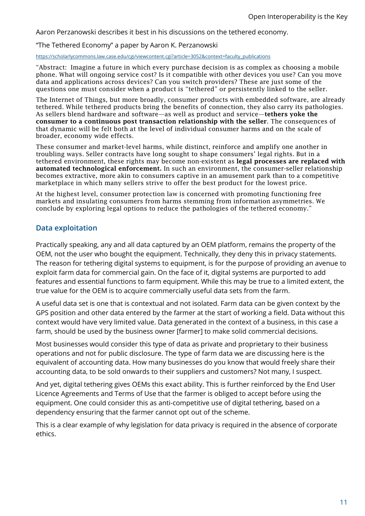Aaron Perzanowski describes it best in his discussions on the tethered economy.

#### "The Tethered Economy" a paper by Aaron K. Perzanowski

#### [https://scholarlycommons.law.case.edu/cgi/viewcontent.cgi?article=3052&context=faculty\\_publications](https://scholarlycommons.law.case.edu/cgi/viewcontent.cgi?article=3052&context=faculty_publications)

"Abstract: Imagine a future in which every purchase decision is as complex as choosing a mobile phone. What will ongoing service cost? Is it compatible with other devices you use? Can you move data and applications across devices? Can you switch providers? These are just some of the questions one must consider when a product is "tethered" or persistently linked to the seller.

The Internet of Things, but more broadly, consumer products with embedded software, are already tethered. While tethered products bring the benefits of connection, they also carry its pathologies. As sellers blend hardware and software—as well as product and service—tethers yoke the consumer to a continuous post transaction relationship with the seller. The consequences of that dynamic will be felt both at the level of individual consumer harms and on the scale of broader, economy wide effects.

These consumer and market-level harms, while distinct, reinforce and amplify one another in troubling ways. Seller contracts have long sought to shape consumers' legal rights. But in a tethered environment, these rights may become non-existent as legal processes are replaced with automated technological enforcement. In such an environment, the consumer-seller relationship becomes extractive, more akin to consumers captive in an amusement park than to a competitive marketplace in which many sellers strive to offer the best product for the lowest price.

At the highest level, consumer protection law is concerned with promoting functioning free markets and insulating consumers from harms stemming from information asymmetries. We conclude by exploring legal options to reduce the pathologies of the tethered economy."

### <span id="page-13-0"></span>**Data exploitation**

Practically speaking, any and all data captured by an OEM platform, remains the property of the OEM, not the user who bought the equipment. Technically, they deny this in privacy statements. The reason for tethering digital systems to equipment, is for the purpose of providing an avenue to exploit farm data for commercial gain. On the face of it, digital systems are purported to add features and essential functions to farm equipment. While this may be true to a limited extent, the true value for the OEM is to acquire commercially useful data sets from the farm.

A useful data set is one that is contextual and not isolated. Farm data can be given context by the GPS position and other data entered by the farmer at the start of working a field. Data without this context would have very limited value. Data generated in the context of a business, in this case a farm, should be used by the business owner [farmer] to make solid commercial decisions.

Most businesses would consider this type of data as private and proprietary to their business operations and not for public disclosure. The type of farm data we are discussing here is the equivalent of accounting data. How many businesses do you know that would freely share their accounting data, to be sold onwards to their suppliers and customers? Not many, I suspect.

And yet, digital tethering gives OEMs this exact ability. This is further reinforced by the End User Licence Agreements and Terms of Use that the farmer is obliged to accept before using the equipment. One could consider this as anti-competitive use of digital tethering, based on a dependency ensuring that the farmer cannot opt out of the scheme.

This is a clear example of why legislation for data privacy is required in the absence of corporate ethics.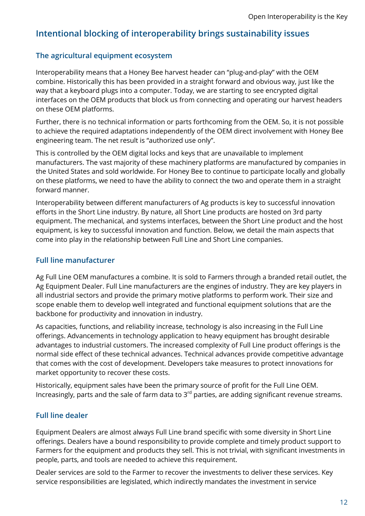# <span id="page-14-0"></span>**Intentional blocking of interoperability brings sustainability issues**

## <span id="page-14-1"></span>**The agricultural equipment ecosystem**

Interoperability means that a Honey Bee harvest header can "plug-and-play" with the OEM combine. Historically this has been provided in a straight forward and obvious way, just like the way that a keyboard plugs into a computer. Today, we are starting to see encrypted digital interfaces on the OEM products that block us from connecting and operating our harvest headers on these OEM platforms.

Further, there is no technical information or parts forthcoming from the OEM. So, it is not possible to achieve the required adaptations independently of the OEM direct involvement with Honey Bee engineering team. The net result is "authorized use only".

This is controlled by the OEM digital locks and keys that are unavailable to implement manufacturers. The vast majority of these machinery platforms are manufactured by companies in the United States and sold worldwide. For Honey Bee to continue to participate locally and globally on these platforms, we need to have the ability to connect the two and operate them in a straight forward manner.

Interoperability between different manufacturers of Ag products is key to successful innovation efforts in the Short Line industry. By nature, all Short Line products are hosted on 3rd party equipment. The mechanical, and systems interfaces, between the Short Line product and the host equipment, is key to successful innovation and function. Below, we detail the main aspects that come into play in the relationship between Full Line and Short Line companies.

## <span id="page-14-2"></span>**Full line manufacturer**

Ag Full Line OEM manufactures a combine. It is sold to Farmers through a branded retail outlet, the Ag Equipment Dealer. Full Line manufacturers are the engines of industry. They are key players in all industrial sectors and provide the primary motive platforms to perform work. Their size and scope enable them to develop well integrated and functional equipment solutions that are the backbone for productivity and innovation in industry.

As capacities, functions, and reliability increase, technology is also increasing in the Full Line offerings. Advancements in technology application to heavy equipment has brought desirable advantages to industrial customers. The increased complexity of Full Line product offerings is the normal side effect of these technical advances. Technical advances provide competitive advantage that comes with the cost of development. Developers take measures to protect innovations for market opportunity to recover these costs.

Historically, equipment sales have been the primary source of profit for the Full Line OEM. Increasingly, parts and the sale of farm data to  $3<sup>rd</sup>$  parties, are adding significant revenue streams.

## <span id="page-14-3"></span>**Full line dealer**

Equipment Dealers are almost always Full Line brand specific with some diversity in Short Line offerings. Dealers have a bound responsibility to provide complete and timely product support to Farmers for the equipment and products they sell. This is not trivial, with significant investments in people, parts, and tools are needed to achieve this requirement.

Dealer services are sold to the Farmer to recover the investments to deliver these services. Key service responsibilities are legislated, which indirectly mandates the investment in service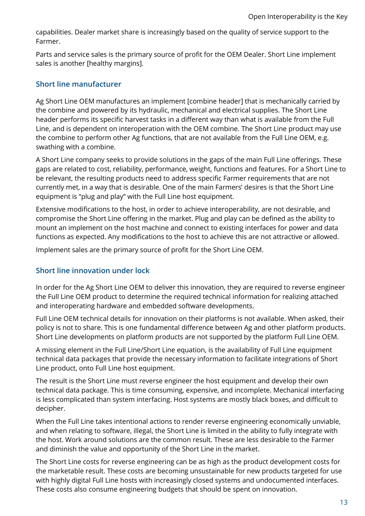capabilities. Dealer market share is increasingly based on the quality of service support to the Farmer.

Parts and service sales is the primary source of profit for the OEM Dealer. Short Line implement sales is another [healthy margins].

## <span id="page-15-0"></span>**Short line manufacturer**

Ag Short Line OEM manufactures an implement [combine header] that is mechanically carried by the combine and powered by its hydraulic, mechanical and electrical supplies. The Short Line header performs its specific harvest tasks in a different way than what is available from the Full Line, and is dependent on interoperation with the OEM combine. The Short Line product may use the combine to perform other Ag functions, that are not available from the Full Line OEM, e.g. swathing with a combine.

A Short Line company seeks to provide solutions in the gaps of the main Full Line offerings. These gaps are related to cost, reliability, performance, weight, functions and features. For a Short Line to be relevant, the resulting products need to address specific Farmer requirements that are not currently met, in a way that is desirable. One of the main Farmers' desires is that the Short Line equipment is "plug and play" with the Full Line host equipment.

Extensive modifications to the host, in order to achieve interoperability, are not desirable, and compromise the Short Line offering in the market. Plug and play can be defined as the ability to mount an implement on the host machine and connect to existing interfaces for power and data functions as expected. Any modifications to the host to achieve this are not attractive or allowed.

Implement sales are the primary source of profit for the Short Line OEM.

# <span id="page-15-1"></span>**Short line innovation under lock**

In order for the Ag Short Line OEM to deliver this innovation, they are required to reverse engineer the Full Line OEM product to determine the required technical information for realizing attached and interoperating hardware and embedded software developments.

Full Line OEM technical details for innovation on their platforms is not available. When asked, their policy is not to share. This is one fundamental difference between Ag and other platform products. Short Line developments on platform products are not supported by the platform Full Line OEM.

A missing element in the Full Line/Short Line equation, is the availability of Full Line equipment technical data packages that provide the necessary information to facilitate integrations of Short Line product, onto Full Line host equipment.

The result is the Short Line must reverse engineer the host equipment and develop their own technical data package. This is time consuming, expensive, and incomplete. Mechanical interfacing is less complicated than system interfacing. Host systems are mostly black boxes, and difficult to decipher.

When the Full Line takes intentional actions to render reverse engineering economically unviable, and when relating to software, illegal, the Short Line is limited in the ability to fully integrate with the host. Work around solutions are the common result. These are less desirable to the Farmer and diminish the value and opportunity of the Short Line in the market.

The Short Line costs for reverse engineering can be as high as the product development costs for the marketable result. These costs are becoming unsustainable for new products targeted for use with highly digital Full Line hosts with increasingly closed systems and undocumented interfaces. These costs also consume engineering budgets that should be spent on innovation.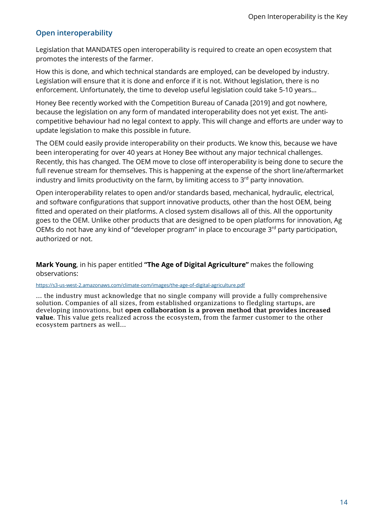# <span id="page-16-0"></span>**Open interoperability**

Legislation that MANDATES open interoperability is required to create an open ecosystem that promotes the interests of the farmer.

How this is done, and which technical standards are employed, can be developed by industry. Legislation will ensure that it is done and enforce if it is not. Without legislation, there is no enforcement. Unfortunately, the time to develop useful legislation could take 5-10 years…

Honey Bee recently worked with the Competition Bureau of Canada [2019] and got nowhere, because the legislation on any form of mandated interoperability does not yet exist. The anticompetitive behaviour had no legal context to apply. This will change and efforts are under way to update legislation to make this possible in future.

The OEM could easily provide interoperability on their products. We know this, because we have been interoperating for over 40 years at Honey Bee without any major technical challenges. Recently, this has changed. The OEM move to close off interoperability is being done to secure the full revenue stream for themselves. This is happening at the expense of the short line/aftermarket industry and limits productivity on the farm, by limiting access to  $3<sup>rd</sup>$  party innovation.

Open interoperability relates to open and/or standards based, mechanical, hydraulic, electrical, and software configurations that support innovative products, other than the host OEM, being fitted and operated on their platforms. A closed system disallows all of this. All the opportunity goes to the OEM. Unlike other products that are designed to be open platforms for innovation, Ag OEMs do not have any kind of "developer program" in place to encourage 3<sup>rd</sup> party participation, authorized or not.

**Mark Young**, in his paper entitled **"The Age of Digital Agriculture"** makes the following observations:

#### <https://s3-us-west-2.amazonaws.com/climate-com/images/the-age-of-digital-agriculture.pdf>

… the industry must acknowledge that no single company will provide a fully comprehensive solution. Companies of all sizes, from established organizations to fledgling startups, are developing innovations, but open collaboration is a proven method that provides increased value. This value gets realized across the ecosystem, from the farmer customer to the other ecosystem partners as well…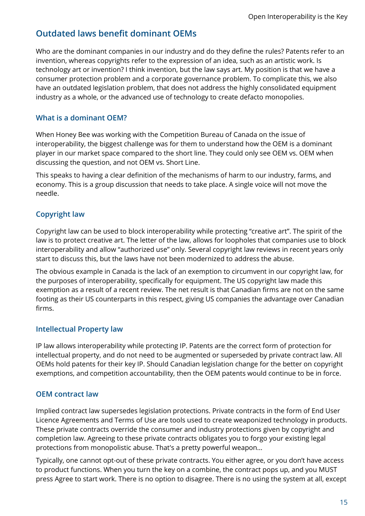# <span id="page-17-0"></span>**Outdated laws benefit dominant OEMs**

Who are the dominant companies in our industry and do they define the rules? Patents refer to an invention, whereas copyrights refer to the expression of an idea, such as an artistic work. Is technology art or invention? I think invention, but the law says art. My position is that we have a consumer protection problem and a corporate governance problem. To complicate this, we also have an outdated legislation problem, that does not address the highly consolidated equipment industry as a whole, or the advanced use of technology to create defacto monopolies.

# <span id="page-17-1"></span>**What is a dominant OEM?**

When Honey Bee was working with the Competition Bureau of Canada on the issue of interoperability, the biggest challenge was for them to understand how the OEM is a dominant player in our market space compared to the short line. They could only see OEM vs. OEM when discussing the question, and not OEM vs. Short Line.

This speaks to having a clear definition of the mechanisms of harm to our industry, farms, and economy. This is a group discussion that needs to take place. A single voice will not move the needle.

# <span id="page-17-2"></span>**Copyright law**

Copyright law can be used to block interoperability while protecting "creative art". The spirit of the law is to protect creative art. The letter of the law, allows for loopholes that companies use to block interoperability and allow "authorized use" only. Several copyright law reviews in recent years only start to discuss this, but the laws have not been modernized to address the abuse.

The obvious example in Canada is the lack of an exemption to circumvent in our copyright law, for the purposes of interoperability, specifically for equipment. The US copyright law made this exemption as a result of a recent review. The net result is that Canadian firms are not on the same footing as their US counterparts in this respect, giving US companies the advantage over Canadian firms.

# <span id="page-17-3"></span>**Intellectual Property law**

IP law allows interoperability while protecting IP. Patents are the correct form of protection for intellectual property, and do not need to be augmented or superseded by private contract law. All OEMs hold patents for their key IP. Should Canadian legislation change for the better on copyright exemptions, and competition accountability, then the OEM patents would continue to be in force.

# <span id="page-17-4"></span>**OEM contract law**

Implied contract law supersedes legislation protections. Private contracts in the form of End User Licence Agreements and Terms of Use are tools used to create weaponized technology in products. These private contracts override the consumer and industry protections given by copyright and completion law. Agreeing to these private contracts obligates you to forgo your existing legal protections from monopolistic abuse. That's a pretty powerful weapon…

Typically, one cannot opt-out of these private contracts. You either agree, or you don't have access to product functions. When you turn the key on a combine, the contract pops up, and you MUST press Agree to start work. There is no option to disagree. There is no using the system at all, except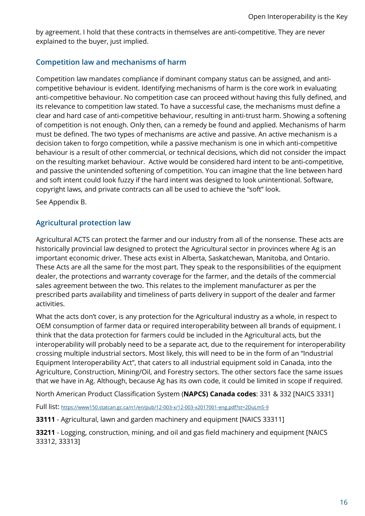by agreement. I hold that these contracts in themselves are anti-competitive. They are never explained to the buyer, just implied.

# <span id="page-18-0"></span>**Competition law and mechanisms of harm**

Competition law mandates compliance if dominant company status can be assigned, and anticompetitive behaviour is evident. Identifying mechanisms of harm is the core work in evaluating anti-competitive behaviour. No competition case can proceed without having this fully defined, and its relevance to competition law stated. To have a successful case, the mechanisms must define a clear and hard case of anti-competitive behaviour, resulting in anti-trust harm. Showing a softening of competition is not enough. Only then, can a remedy be found and applied. Mechanisms of harm must be defined. The two types of mechanisms are active and passive. An active mechanism is a decision taken to forgo competition, while a passive mechanism is one in which anti-competitive behaviour is a result of other commercial, or technical decisions, which did not consider the impact on the resulting market behaviour. Active would be considered hard intent to be anti-competitive, and passive the unintended softening of competition. You can imagine that the line between hard and soft intent could look fuzzy if the hard intent was designed to look unintentional. Software, copyright laws, and private contracts can all be used to achieve the "soft" look.

See Appendix B.

# <span id="page-18-1"></span>**Agricultural protection law**

Agricultural ACTS can protect the farmer and our industry from all of the nonsense. These acts are historically provincial law designed to protect the Agricultural sector in provinces where Ag is an important economic driver. These acts exist in Alberta, Saskatchewan, Manitoba, and Ontario. These Acts are all the same for the most part. They speak to the responsibilities of the equipment dealer, the protections and warranty coverage for the farmer, and the details of the commercial sales agreement between the two. This relates to the implement manufacturer as per the prescribed parts availability and timeliness of parts delivery in support of the dealer and farmer activities.

What the acts don't cover, is any protection for the Agricultural industry as a whole, in respect to OEM consumption of farmer data or required interoperability between all brands of equipment. I think that the data protection for farmers could be included in the Agricultural acts, but the interoperability will probably need to be a separate act, due to the requirement for interoperability crossing multiple industrial sectors. Most likely, this will need to be in the form of an "Industrial Equipment Interoperability Act", that caters to all industrial equipment sold in Canada, into the Agriculture, Construction, Mining/Oil, and Forestry sectors. The other sectors face the same issues that we have in Ag. Although, because Ag has its own code, it could be limited in scope if required.

North American Product Classification System (**NAPCS) Canada codes**: 331 & 332 [NAICS 3331]

Full list:<https://www150.statcan.gc.ca/n1/en/pub/12-003-x/12-003-x2017001-eng.pdf?st=2DuLmS-9>

**33111** - Agricultural, lawn and garden machinery and equipment [NAICS 33311]

**33211** - Logging, construction, mining, and oil and gas field machinery and equipment [NAICS 33312, 33313]